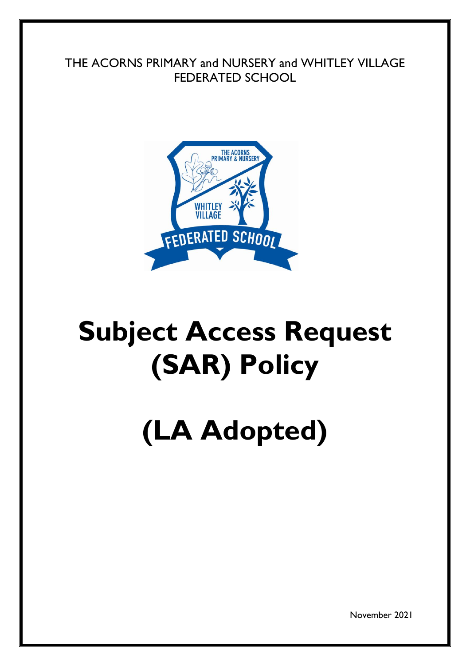THE ACORNS PRIMARY and NURSERY and WHITLEY VILLAGE FEDERATED SCHOOL



# **Subject Access Request (SAR) Policy**

# **(LA Adopted)**

November 2021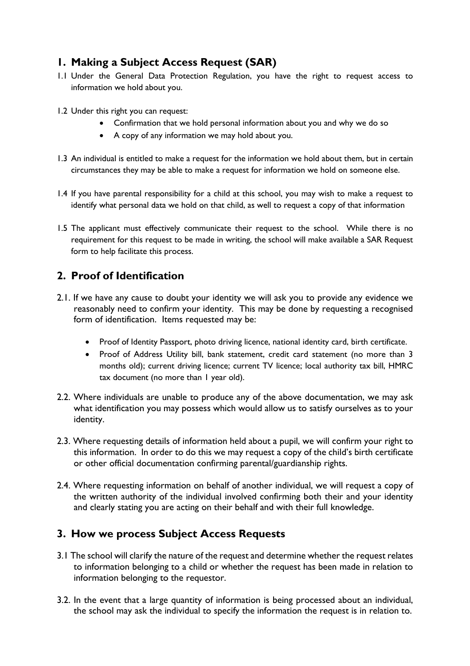# **1. Making a Subject Access Request (SAR)**

- 1.1 Under the General Data Protection Regulation, you have the right to request access to information we hold about you.
- 1.2 Under this right you can request:
	- Confirmation that we hold personal information about you and why we do so
	- A copy of any information we may hold about you.
- 1.3 An individual is entitled to make a request for the information we hold about them, but in certain circumstances they may be able to make a request for information we hold on someone else.
- 1.4 If you have parental responsibility for a child at this school, you may wish to make a request to identify what personal data we hold on that child, as well to request a copy of that information
- 1.5 The applicant must effectively communicate their request to the school. While there is no requirement for this request to be made in writing, the school will make available a SAR Request form to help facilitate this process.

# **2. Proof of Identification**

- 2.1. If we have any cause to doubt your identity we will ask you to provide any evidence we reasonably need to confirm your identity. This may be done by requesting a recognised form of identification. Items requested may be:
	- Proof of Identity Passport, photo driving licence, national identity card, birth certificate.
	- Proof of Address Utility bill, bank statement, credit card statement (no more than 3 months old); current driving licence; current TV licence; local authority tax bill, HMRC tax document (no more than 1 year old).
- 2.2. Where individuals are unable to produce any of the above documentation, we may ask what identification you may possess which would allow us to satisfy ourselves as to your identity.
- 2.3. Where requesting details of information held about a pupil, we will confirm your right to this information. In order to do this we may request a copy of the child's birth certificate or other official documentation confirming parental/guardianship rights.
- 2.4. Where requesting information on behalf of another individual, we will request a copy of the written authority of the individual involved confirming both their and your identity and clearly stating you are acting on their behalf and with their full knowledge.

#### **3. How we process Subject Access Requests**

- 3.1 The school will clarify the nature of the request and determine whether the request relates to information belonging to a child or whether the request has been made in relation to information belonging to the requestor.
- 3.2. In the event that a large quantity of information is being processed about an individual, the school may ask the individual to specify the information the request is in relation to.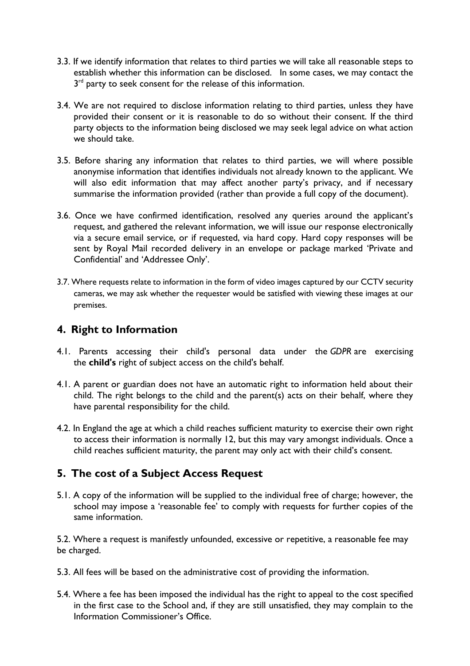- 3.3. If we identify information that relates to third parties we will take all reasonable steps to establish whether this information can be disclosed. In some cases, we may contact the  $3<sup>rd</sup>$  party to seek consent for the release of this information.
- 3.4. We are not required to disclose information relating to third parties, unless they have provided their consent or it is reasonable to do so without their consent. If the third party objects to the information being disclosed we may seek legal advice on what action we should take.
- 3.5. Before sharing any information that relates to third parties, we will where possible anonymise information that identifies individuals not already known to the applicant. We will also edit information that may affect another party's privacy, and if necessary summarise the information provided (rather than provide a full copy of the document).
- 3.6. Once we have confirmed identification, resolved any queries around the applicant's request, and gathered the relevant information, we will issue our response electronically via a secure email service, or if requested, via hard copy. Hard copy responses will be sent by Royal Mail recorded delivery in an envelope or package marked 'Private and Confidential' and 'Addressee Only'.
- 3.7. Where requests relate to information in the form of video images captured by our CCTV security cameras, we may ask whether the requester would be satisfied with viewing these images at our premises.

## **4. Right to Information**

- 4.1. Parents accessing their child's personal data under the *GDPR* are exercising the **child's** right of subject access on the child's behalf.
- 4.1. A parent or guardian does not have an automatic right to information held about their child. The right belongs to the child and the parent(s) acts on their behalf, where they have parental responsibility for the child.
- 4.2. In England the age at which a child reaches sufficient maturity to exercise their own right to access their information is normally 12, but this may vary amongst individuals. Once a child reaches sufficient maturity, the parent may only act with their child's consent.

# **5. The cost of a Subject Access Request**

5.1. A copy of the information will be supplied to the individual free of charge; however, the school may impose a 'reasonable fee' to comply with requests for further copies of the same information.

5.2. Where a request is manifestly unfounded, excessive or repetitive, a reasonable fee may be charged.

- 5.3. All fees will be based on the administrative cost of providing the information.
- 5.4. Where a fee has been imposed the individual has the right to appeal to the cost specified in the first case to the School and, if they are still unsatisfied, they may complain to the Information Commissioner's Office.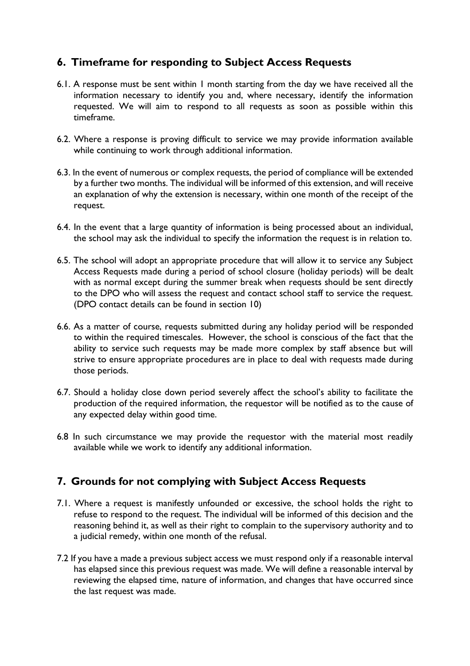# **6. Timeframe for responding to Subject Access Requests**

- 6.1. A response must be sent within 1 month starting from the day we have received all the information necessary to identify you and, where necessary, identify the information requested. We will aim to respond to all requests as soon as possible within this timeframe.
- 6.2. Where a response is proving difficult to service we may provide information available while continuing to work through additional information.
- 6.3. In the event of numerous or complex requests, the period of compliance will be extended by a further two months. The individual will be informed of this extension, and will receive an explanation of why the extension is necessary, within one month of the receipt of the request.
- 6.4. In the event that a large quantity of information is being processed about an individual, the school may ask the individual to specify the information the request is in relation to.
- 6.5. The school will adopt an appropriate procedure that will allow it to service any Subject Access Requests made during a period of school closure (holiday periods) will be dealt with as normal except during the summer break when requests should be sent directly to the DPO who will assess the request and contact school staff to service the request. (DPO contact details can be found in section 10)
- 6.6. As a matter of course, requests submitted during any holiday period will be responded to within the required timescales. However, the school is conscious of the fact that the ability to service such requests may be made more complex by staff absence but will strive to ensure appropriate procedures are in place to deal with requests made during those periods.
- 6.7. Should a holiday close down period severely affect the school's ability to facilitate the production of the required information, the requestor will be notified as to the cause of any expected delay within good time.
- 6.8 In such circumstance we may provide the requestor with the material most readily available while we work to identify any additional information.

#### **7. Grounds for not complying with Subject Access Requests**

- 7.1. Where a request is manifestly unfounded or excessive, the school holds the right to refuse to respond to the request. The individual will be informed of this decision and the reasoning behind it, as well as their right to complain to the supervisory authority and to a judicial remedy, within one month of the refusal.
- 7.2 If you have a made a previous subject access we must respond only if a reasonable interval has elapsed since this previous request was made. We will define a reasonable interval by reviewing the elapsed time, nature of information, and changes that have occurred since the last request was made.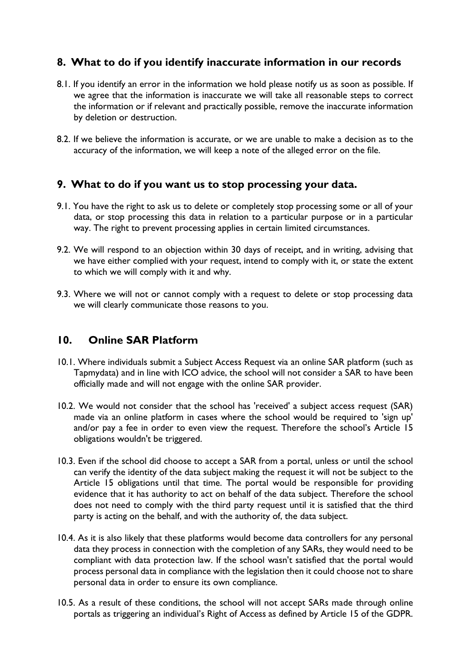#### **8. What to do if you identify inaccurate information in our records**

- 8.1. If you identify an error in the information we hold please notify us as soon as possible. If we agree that the information is inaccurate we will take all reasonable steps to correct the information or if relevant and practically possible, remove the inaccurate information by deletion or destruction.
- 8.2. If we believe the information is accurate, or we are unable to make a decision as to the accuracy of the information, we will keep a note of the alleged error on the file.

#### **9. What to do if you want us to stop processing your data.**

- 9.1. You have the right to ask us to delete or completely stop processing some or all of your data, or stop processing this data in relation to a particular purpose or in a particular way. The right to prevent processing applies in certain limited circumstances.
- 9.2. We will respond to an objection within 30 days of receipt, and in writing, advising that we have either complied with your request, intend to comply with it, or state the extent to which we will comply with it and why.
- 9.3. Where we will not or cannot comply with a request to delete or stop processing data we will clearly communicate those reasons to you.

#### **10. Online SAR Platform**

- 10.1. Where individuals submit a Subject Access Request via an online SAR platform (such as Tapmydata) and in line with ICO advice, the school will not consider a SAR to have been officially made and will not engage with the online SAR provider.
- 10.2. We would not consider that the school has 'received' a subject access request (SAR) made via an online platform in cases where the school would be required to 'sign up' and/or pay a fee in order to even view the request. Therefore the school's Article 15 obligations wouldn't be triggered.
- 10.3. Even if the school did choose to accept a SAR from a portal, unless or until the school can verify the identity of the data subject making the request it will not be subject to the Article 15 obligations until that time. The portal would be responsible for providing evidence that it has authority to act on behalf of the data subject. Therefore the school does not need to comply with the third party request until it is satisfied that the third party is acting on the behalf, and with the authority of, the data subject.
- 10.4. As it is also likely that these platforms would become data controllers for any personal data they process in connection with the completion of any SARs, they would need to be compliant with data protection law. If the school wasn't satisfied that the portal would process personal data in compliance with the legislation then it could choose not to share personal data in order to ensure its own compliance.
- 10.5. As a result of these conditions, the school will not accept SARs made through online portals as triggering an individual's Right of Access as defined by Article 15 of the GDPR.